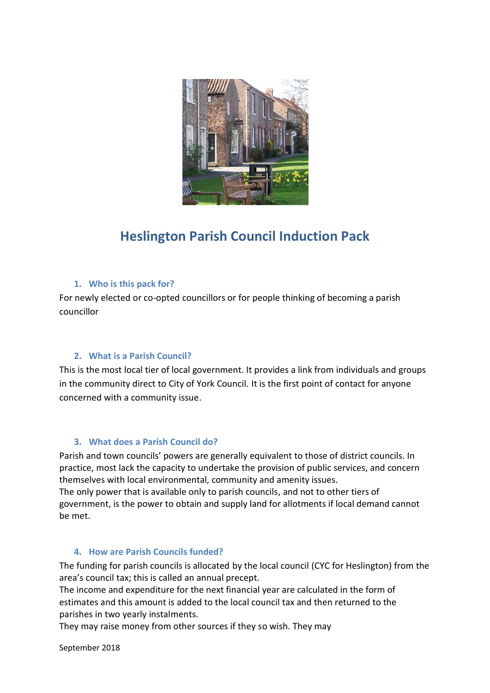

# **Heslington Parish Council Induction Pack**

## **1. Who is this pack for?**

For newly elected or co-opted councillors or for people thinking of becoming a parish councillor

## **2. What is a Parish Council?**

This is the most local tier of local government. It provides a link from individuals and groups in the community direct to City of York Council. It is the first point of contact for anyone concerned with a community issue.

## **3. What does a Parish Council do?**

Parish and town councils' powers are generally equivalent to those of district councils. In practice, most lack the capacity to undertake the provision of public services, and concern themselves with local environmental, community and amenity issues.

The only power that is available only to parish councils, and not to other tiers of government, is the power to obtain and supply land for allotments if local demand cannot be met.

## **4. How are Parish Councils funded?**

The funding for parish councils is allocated by the local council (CYC for Heslington) from the area's council tax; this is called an annual precept.

The income and expenditure for the next financial year are calculated in the form of estimates and this amount is added to the local council tax and then returned to the parishes in two yearly instalments.

They may raise money from other sources if they so wish. They may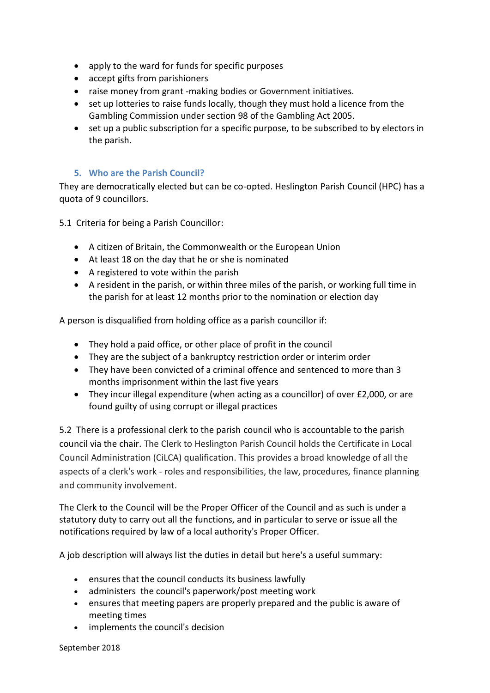- apply to the ward for funds for specific purposes
- accept gifts from parishioners
- raise money from grant -making bodies or Government initiatives.
- set up lotteries to raise funds locally, though they must hold a licence from the Gambling Commission under section 98 of the Gambling Act 2005.
- set up a public subscription for a specific purpose, to be subscribed to by electors in the parish.

#### **5. Who are the Parish Council?**

They are democratically elected but can be co-opted. Heslington Parish Council (HPC) has a quota of 9 councillors.

5.1 Criteria for being a Parish Councillor:

- A citizen of Britain, the Commonwealth or the European Union
- At least 18 on the day that he or she is nominated
- A registered to vote within the parish
- A resident in the parish, or within three miles of the parish, or working full time in the parish for at least 12 months prior to the nomination or election day

A person is disqualified from holding office as a parish councillor if:

- They hold a paid office, or other place of profit in the council
- They are the subject of a bankruptcy restriction order or interim order
- They have been convicted of a criminal offence and sentenced to more than 3 months imprisonment within the last five years
- They incur illegal expenditure (when acting as a councillor) of over £2,000, or are found guilty of using corrupt or illegal practices

5.2 There is a professional clerk to the parish council who is accountable to the parish council via the chair. The Clerk to Heslington Parish Council holds the Certificate in Local Council Administration (CiLCA) qualification. This provides a broad knowledge of all the aspects of a clerk's work - roles and responsibilities, the law, procedures, finance planning and community involvement.

The Clerk to the Council will be the Proper Officer of the Council and as such is under a statutory duty to carry out all the functions, and in particular to serve or issue all the notifications required by law of a local authority's Proper Officer.

A job description will always list the duties in detail but here's a useful summary:

- ensures that the council conducts its business lawfully
- administers the council's paperwork/post meeting work
- ensures that meeting papers are properly prepared and the public is aware of meeting times
- implements the council's decision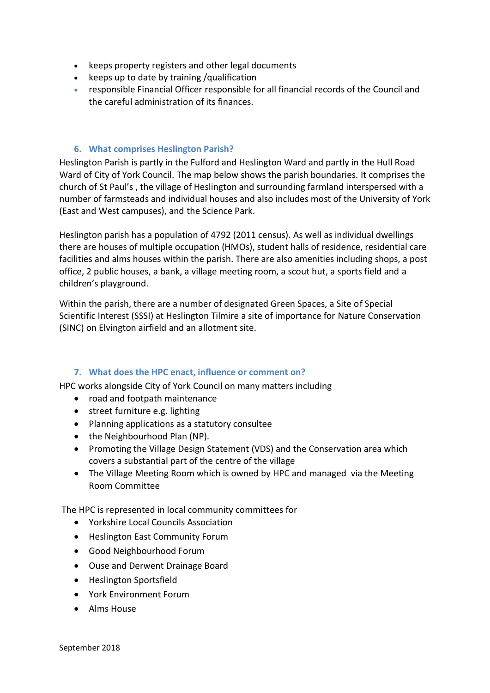- keeps property registers and other legal documents
- $\cdot$  keeps up to date by training /qualification
- responsible Financial Officer responsible for all financial records of the Council and the careful administration of its finances.

#### **6. What comprises Heslington Parish?**

Heslington Parish is partly in the Fulford and Heslington Ward and partly in the Hull Road Ward of City of York Council. The map below shows the parish boundaries. It comprises the church of St Paul's , the village of Heslington and surrounding farmland interspersed with a number of farmsteads and individual houses and also includes most of the University of York (East and West campuses), and the Science Park.

Heslington parish has a population of 4792 (2011 census). As well as individual dwellings there are houses of multiple occupation (HMOs), student halls of residence, residential care facilities and alms houses within the parish. There are also amenities including shops, a post office, 2 public houses, a bank, a village meeting room, a scout hut, a sports field and a children's playground.

Within the parish, there are a number of designated Green Spaces, a Site of Special Scientific Interest (SSSI) at Heslington Tilmire a site of importance for Nature Conservation (SINC) on Elvington airfield and an allotment site.

#### **7. What does the HPC enact, influence or comment on?**

HPC works alongside City of York Council on many matters including

- road and footpath maintenance
- street furniture e.g. lighting
- Planning applications as a statutory consultee
- the Neighbourhood Plan (NP).
- Promoting the Village Design Statement (VDS) and the Conservation area which covers a substantial part of the centre of the village
- The Village Meeting Room which is owned by HPC and managed via the Meeting Room Committee

The HPC is represented in local community committees for

- Yorkshire Local Councils Association
- Heslington East Community Forum
- Good Neighbourhood Forum
- Ouse and Derwent Drainage Board
- Heslington Sportsfield
- York Environment Forum
- Alms House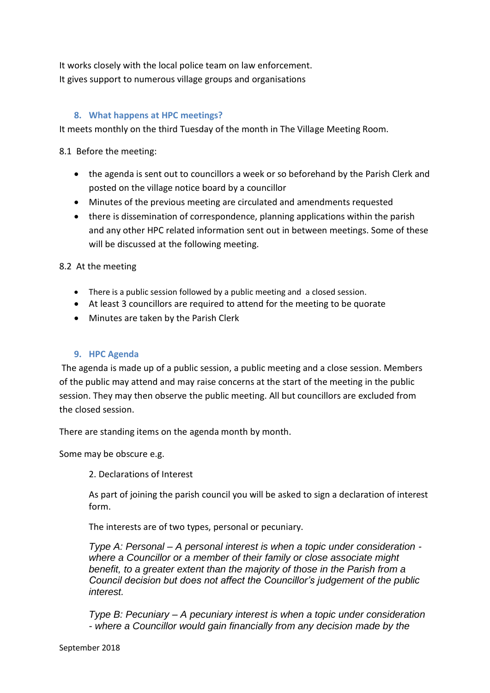It works closely with the local police team on law enforcement. It gives support to numerous village groups and organisations

#### **8. What happens at HPC meetings?**

It meets monthly on the third Tuesday of the month in The Village Meeting Room.

8.1 Before the meeting:

- the agenda is sent out to councillors a week or so beforehand by the Parish Clerk and posted on the village notice board by a councillor
- Minutes of the previous meeting are circulated and amendments requested
- there is dissemination of correspondence, planning applications within the parish and any other HPC related information sent out in between meetings. Some of these will be discussed at the following meeting.

8.2 At the meeting

- There is a public session followed by a public meeting and a closed session.
- At least 3 councillors are required to attend for the meeting to be quorate
- Minutes are taken by the Parish Clerk

#### **9. HPC Agenda**

The agenda is made up of a public session, a public meeting and a close session. Members of the public may attend and may raise concerns at the start of the meeting in the public session. They may then observe the public meeting. All but councillors are excluded from the closed session.

There are standing items on the agenda month by month.

Some may be obscure e.g.

2. Declarations of Interest

As part of joining the parish council you will be asked to sign a declaration of interest form.

The interests are of two types, personal or pecuniary.

*Type A: Personal – A personal interest is when a topic under consideration where a Councillor or a member of their family or close associate might benefit, to a greater extent than the majority of those in the Parish from a Council decision but does not affect the Councillor's judgement of the public interest.*

*Type B: Pecuniary – A pecuniary interest is when a topic under consideration - where a Councillor would gain financially from any decision made by the*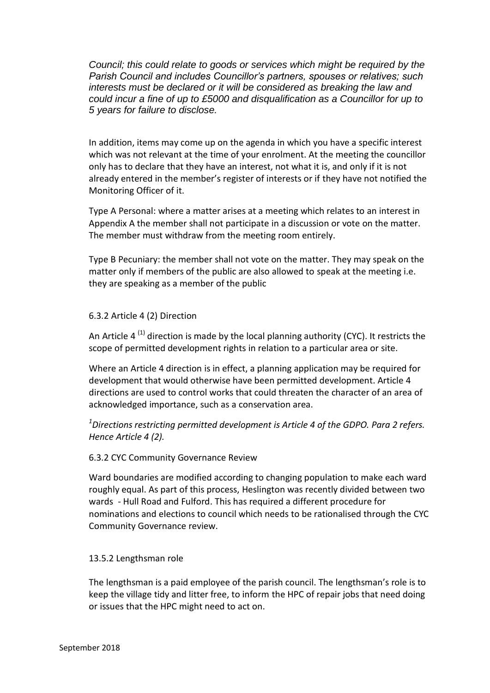*Council; this could relate to goods or services which might be required by the Parish Council and includes Councillor's partners, spouses or relatives; such interests must be declared or it will be considered as breaking the law and could incur a fine of up to £5000 and disqualification as a Councillor for up to 5 years for failure to disclose.*

In addition, items may come up on the agenda in which you have a specific interest which was not relevant at the time of your enrolment. At the meeting the councillor only has to declare that they have an interest, not what it is, and only if it is not already entered in the member's register of interests or if they have not notified the Monitoring Officer of it.

Type A Personal: where a matter arises at a meeting which relates to an interest in Appendix A the member shall not participate in a discussion or vote on the matter. The member must withdraw from the meeting room entirely.

Type B Pecuniary: the member shall not vote on the matter. They may speak on the matter only if members of the public are also allowed to speak at the meeting i.e. they are speaking as a member of the public

#### 6.3.2 Article 4 (2) Direction

An Article 4<sup>(1)</sup> direction is made by the local planning authority (CYC). It restricts the scope of permitted development rights in relation to a particular area or site.

Where an Article 4 direction is in effect, a planning application may be required for development that would otherwise have been permitted development. Article 4 directions are used to control works that could threaten the character of an area of acknowledged importance, such as a conservation area.

*1 Directions restricting permitted development is Article 4 of the GDPO. Para 2 refers. Hence Article 4 (2).*

#### 6.3.2 CYC Community Governance Review

Ward boundaries are modified according to changing population to make each ward roughly equal. As part of this process, Heslington was recently divided between two wards - Hull Road and Fulford. This has required a different procedure for nominations and elections to council which needs to be rationalised through the CYC Community Governance review.

#### 13.5.2 Lengthsman role

The lengthsman is a paid employee of the parish council. The lengthsman's role is to keep the village tidy and litter free, to inform the HPC of repair jobs that need doing or issues that the HPC might need to act on.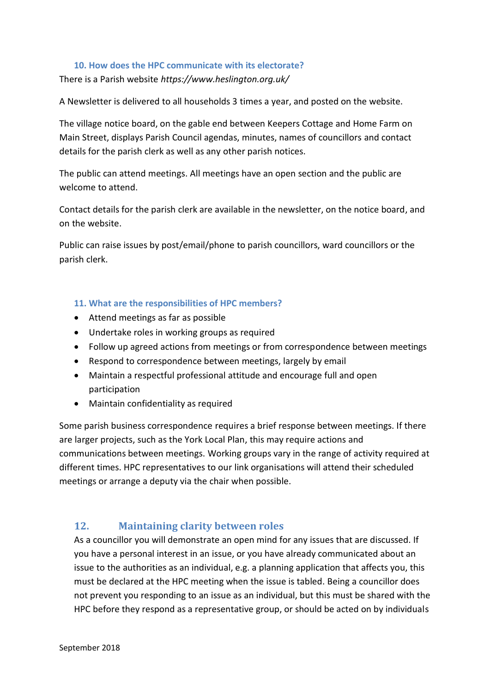#### **10. How does the HPC communicate with its electorate?**

There is a Parish website *https://www.heslington.org.uk/*

A Newsletter is delivered to all households 3 times a year, and posted on the website.

The village notice board, on the gable end between Keepers Cottage and Home Farm on Main Street, displays Parish Council agendas, minutes, names of councillors and contact details for the parish clerk as well as any other parish notices.

The public can attend meetings. All meetings have an open section and the public are welcome to attend.

Contact details for the parish clerk are available in the newsletter, on the notice board, and on the website.

Public can raise issues by post/email/phone to parish councillors, ward councillors or the parish clerk.

#### **11. What are the responsibilities of HPC members?**

- Attend meetings as far as possible
- Undertake roles in working groups as required
- Follow up agreed actions from meetings or from correspondence between meetings
- Respond to correspondence between meetings, largely by email
- Maintain a respectful professional attitude and encourage full and open participation
- Maintain confidentiality as required

Some parish business correspondence requires a brief response between meetings. If there are larger projects, such as the York Local Plan, this may require actions and communications between meetings. Working groups vary in the range of activity required at different times. HPC representatives to our link organisations will attend their scheduled meetings or arrange a deputy via the chair when possible.

## **12. Maintaining clarity between roles**

As a councillor you will demonstrate an open mind for any issues that are discussed. If you have a personal interest in an issue, or you have already communicated about an issue to the authorities as an individual, e.g. a planning application that affects you, this must be declared at the HPC meeting when the issue is tabled. Being a councillor does not prevent you responding to an issue as an individual, but this must be shared with the HPC before they respond as a representative group, or should be acted on by individuals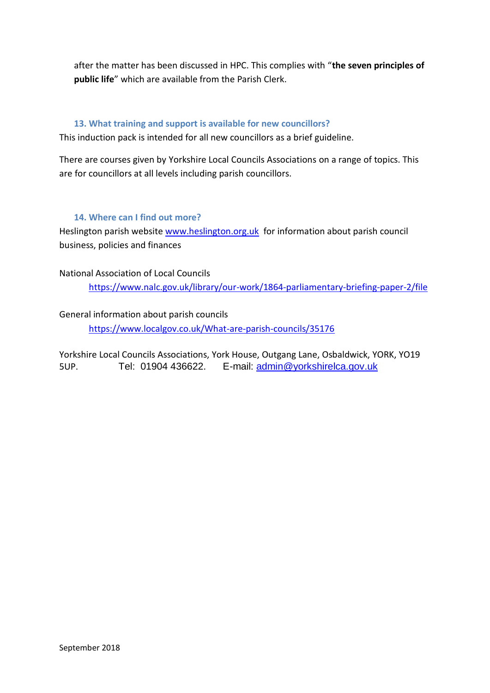after the matter has been discussed in HPC. This complies with "**the seven principles of public life**" which are available from the Parish Clerk.

#### **13. What training and support is available for new councillors?**

This induction pack is intended for all new councillors as a brief guideline.

There are courses given by Yorkshire Local Councils Associations on a range of topics. This are for councillors at all levels including parish councillors.

#### **14. Where can I find out more?**

Heslington parish websit[e www.heslington.org.uk](http://www.heslington.org.uk/) for information about parish council business, policies and finances

#### National Association of Local Councils

<https://www.nalc.gov.uk/library/our-work/1864-parliamentary-briefing-paper-2/file>

#### General information about parish councils

<https://www.localgov.co.uk/What-are-parish-councils/35176>

Yorkshire Local Councils Associations, York House, Outgang Lane, Osbaldwick, YORK, YO19 5UP. Tel: 01904 436622. E-mail: [admin@yorkshirelca.gov.uk](mailto:admin@yorkshirelca.gov.uk)